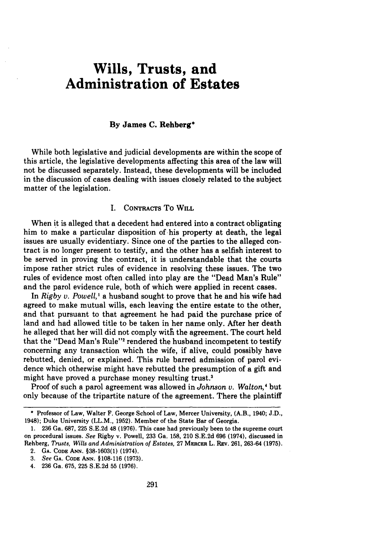# **Wills, Trusts, and Administration of Estates**

## **By James C. Rehberg\***

While both legislative and judicial developments are within the scope of this article, the legislative developments affecting this area of the law will not be discussed separately. Instead, these developments will be included in the discussion of cases dealing with issues closely related to the subject matter of the legislation.

# **I.** CONTRACTS To WILL

When it is alleged that a decedent had entered into a contract obligating him to make a particular disposition of his property at death, the legal issues are usually evidentiary. Since one of the parties to the alleged contract is no longer present to testify, and the other has a selfish interest to be served in proving the contract, it is understandable that the courts impose rather strict rules of evidence in resolving these issues. The two rules of evidence most often called into play are the "Dead Man's Rule" and the parol evidence rule, both of which were applied in recent cases.

In *Rigby v. Powell,'* a husband sought to prove that he and his wife had agreed to make mutual wills, each leaving the entire estate to the other, and that pursuant to that agreement he had paid the purchase price of land and had allowed title to be taken in her name only. **After** her death he alleged that her will did not comply with the agreement. The court held that the "Dead Man's Rule"<sup>2</sup> rendered the husband incompetent to testify concerning any transaction which the wife, if alive, could possibly have rebutted, denied, or explained. This rule barred admission of parol evidence which otherwise might have rebutted the presumption of a gift and might have proved a purchase money resulting trust.<sup>3</sup>

Proof of such a parol agreement was allowed in *Johnson* v. *Walton,'* but only because of the tripartite nature of the agreement. There the plaintiff

<sup>\*</sup> Professor of Law, Walter F. George School of Law, Mercer University, (A.B., 1940; J.D., 1948); Duke University (LL.M., 1952). Member of the State Bar of Georgia.

<sup>1. 236</sup> Ga. 687, 225 S.E.2d 48 (1976). This case had previously been to the supreme court on procedural issues. *See* Rigby v. Powell, 233 Ga. 158, 210 S.E.2d 696 (1974), discussed in Rehberg, *Trusts, Wills and Administration of Estates,* 27 MEacER L. Ray. 261, 263-64 (1975).

<sup>2.</sup> **GA. CODE ANN.** §38-1603(1) (1974).

*<sup>3.</sup>* See **GA. CODE ANN.** §108-116 (1973).

<sup>4. 236</sup> Ga. 675, 225 S.E.2d 55 (1976).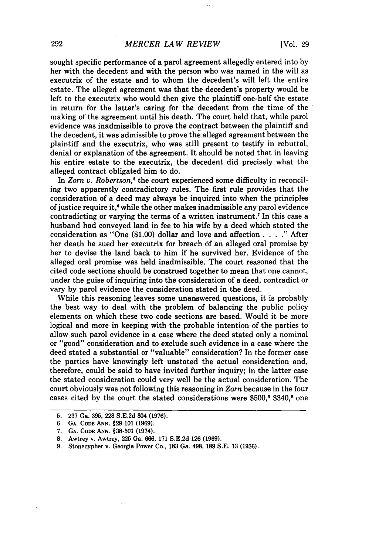## *MERCER LAW REVIEW*

sought specific performance of a parol agreement allegedly entered into **by** her with the decedent and with the person who was named in the will as executrix of the estate and to whom the decedent's will left the entire estate. The alleged agreement was that the decedent's property would be left to the executrix who would then give the plaintiff one-half the estate in return for the latter's caring for the decedent from the time of the making of the agreement until his death. The court held that, while parol evidence was inadmissible to prove the contract between the plaintiff and the decedent, it was admissible to prove the alleged agreement between the plaintiff and the executrix, who was still present to testify in rebuttal, denial or explanation of the agreement. It should be noted that in leaving his entire estate to the executrix, the decedent did precisely what the alleged contract obligated him to do.

In *Zorn v. Robertson*,<sup>5</sup> the court experienced some difficulty in reconciling two apparently contradictory rules. The first rule provides that the consideration of a deed may always be inquired into when the principles of justice require it,' while the other makes inadmissible any parol evidence contradicting or varying the terms of a written instrument.7 In this case a husband had conveyed land in fee to his wife by a deed which stated the consideration as "One (\$1.00) dollar and love and affection . **. . ."** After her death he sued her executrix for breach of an alleged oral promise by her to devise the land back to him if he survived her. Evidence of the alleged oral promise was held inadmissible. The court reasoned that the cited code sections should be construed together to mean that one cannot, under the guise of inquiring into the consideration of a deed, contradict or vary by parol evidence the consideration stated in the deed.

While this reasoning leaves some unanswered questions, it is probably the best way to deal with the problem of balancing the public policy elements on which these two code sections are based. Would it be more logical and more in keeping with the probable intention of the parties to allow such parol evidence in a case where the deed stated only a nominal or "good" consideration and to exclude such evidence in a case where the deed stated a substantial or "valuable" consideration? In the former case the parties have knowingly left unstated the actual consideration and, therefore, could be said to have invited further inquiry; in the latter case the stated consideration could very well be the actual consideration. The court obviously was not following this reasoning in *Zorn* because in the four cases cited by the court the stated considerations were  $$500$ , $$340$ , $$0$  one

**<sup>5. 237</sup> Ga. 395, 228 S.E.2d 804 (1976).**

**<sup>6.</sup> GA. CODE ANN. §29-101 (1969).**

**<sup>7.</sup> GA. CODE ANN. §38-501** (1974).

**<sup>8.</sup>** Awtrey v. Awtrey, **225** Ga. **666, 171 S.E.2d 126 (1969).**

**<sup>9.</sup>** Stonecypher v. Georgia Power Co., **183** Ga. 498, **189 S.E. 13 (1936).**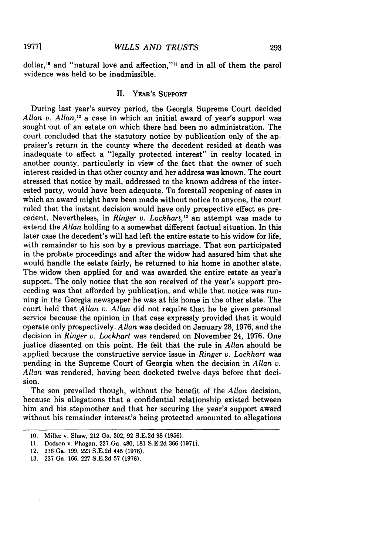dollar,'0 and "natural love and affection,"" and in all of them the parol ?vidence was held to be inadmissible.

## **H.** YEAR'S **SUPPORT**

During last year's survey period, the Georgia Supreme Court decided *Allan v. Allan,"* a case in which an initial award of year's support was sought out of an estate on which there had been no administration. The court concluded that the statutory notice **by** publication only of the appraiser's return in the county where the decedent resided at death was inadequate to affect a "legally protected interest" in realty located in another county, particularly in view of the fact that the owner of such interest resided in that other county and her address was known. The court stressed that notice **by** mail, addressed to the known address of the interested party, would have been adequate. To forestall reopening of cases in which an award might have been made without notice to anyone, the court ruled that the instant decision would have only prospective effect as precedent. Nevertheless, in *Ringer v. Lockhart*,<sup>13</sup> an attempt was made to extend the *Allan* holding to a somewhat different factual situation. In this later case the decedent's will had left the entire estate to his widow for life, with remainder to his son by a previous marriage. That son participated in the probate proceedings and after the widow had assured him that she would handle the estate fairly, he returned to his home in another state. The widow then applied for and was awarded the entire estate as year's support. The only notice that the son received of the year's support proceeding was that afforded by publication, and while that notice was running in the Georgia newspaper he was at his home in the other state. The court held that *Allan v. Allan* did not require that he be given personal service because the opinion in that case expressly provided that it would operate only prospectively. *Allan* was decided on January 28, 1976, and the decision in *Ringer v. Lockhart* was rendered on November 24, 1976. One justice dissented on this point. He felt that the rule in *Allan* should be applied because the constructive service issue in *Ringer v. Lockhart* was pending in the Supreme Court of Georgia when the decision in *Allan v. Allan* was rendered, having been docketed twelve days before that decision.

The son prevailed though, without the benefit of the *Allan* decision, because his allegations that a confidential relationship existed between him and his stepmother and that her securing the year's support award without his remainder interest's being protected amounted to allegations

**19771**

**<sup>10.</sup>** Miller v. Shaw, 212 Ga. 302, **92** S.E.2d **98 (1956).**

**<sup>11.</sup>** Dodson v. Phagan, **227** Ga. 480, **181 S.E.2d 366 (1971).**

<sup>12.</sup> **236** Ga. **199, 223 S.E.2d** 445 **(1976).**

**<sup>13. 237</sup>** Ga. **166, 227 S.E.2d 57 (1976).**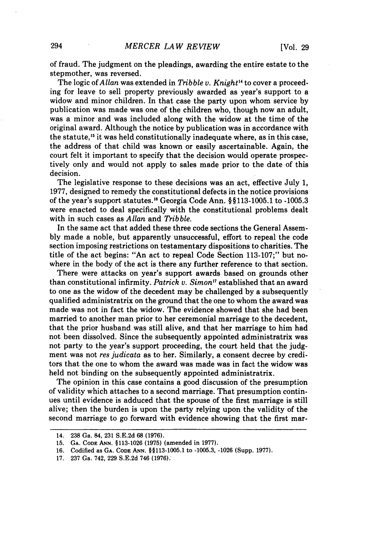of fraud. The judgment on the pleadings, awarding the entire estate to the stepmother, was reversed.

The logic *of Allan* was extended in *Tribble v. Knight"* to cover a proceeding for leave to sell property previously awarded as year's support to a widow and minor children. In that case the party upon whom service by publication was made was one of the children who, though now an adult, was a minor and was included along with the widow at the time of the original award. Although the notice by publication was in accordance with the statute,<sup>15</sup> it was held constitutionally inadequate where, as in this case, the address of that child was known or easily ascertainable. Again, the court felt it important to specify that the decision would operate prospectively only and would not apply to sales made prior to the date of this decision.

The legislative response to these decisions was an act, effective July 1, 1977, designed to remedy the constitutional defects in the notice provisions of the year's support statutes."8 Georgia Code Ann. § §113-1005.1 to -1005.3 were enacted to deal specifically with the constitutional problems dealt with in such cases as *Allan* and *Tribble.*

In the same act that added these three code sections the General Assembly made a noble, but apparently unsuccessful, effort to repeal the code section imposing restrictions on testamentary dispositions to charities. The title of the act begins: "An act to repeal Code Section 113-107;" but nowhere in the body of the act is there any further reference to that section.

There were attacks on year's support awards based on grounds other than constitutional infirmity. *Patrick v. Simon <sup>7</sup>*established that an award to one as the widow of the decedent may be challenged by a subsequently qualified administratrix on the ground that the one to whom the award was made was not in fact the widow. The evidence showed that she had been married to another man prior to her ceremonial marriage to the decedent, that the prior husband was still alive, and that her marriage to him had not been dissolved. Since the subsequently appointed administratrix was not party to the year's support proceeding, the court held that the judgment was not *res judicata* as to her. Similarly, a consent decree by creditors that the one to whom the award was made was in fact the widow was held not binding on the subsequently appointed administratrix.

The opinion in this case contains a good discussion of the presumption of validity which attaches to a second marriage. That presumption continues until evidence is adduced that the spouse of the first marriage is still alive; then the burden is upon the party relying upon the validity of the second marriage to go forward with evidence showing that the first mar-

<sup>14. 238</sup> Ga. 84, **231** S.E.2d 68 **(1976).**

**<sup>15.</sup> GA. CODE ANN. §113-1026 (1975)** (amended in 1977).

<sup>16.</sup> Codified as **GA. CODE ANN. §§113-1005.1** to -1005.3, -1026 (Supp. 1977).

**<sup>17.</sup>** 237 Ga. 742, 229 S.E.2d 746 (1976).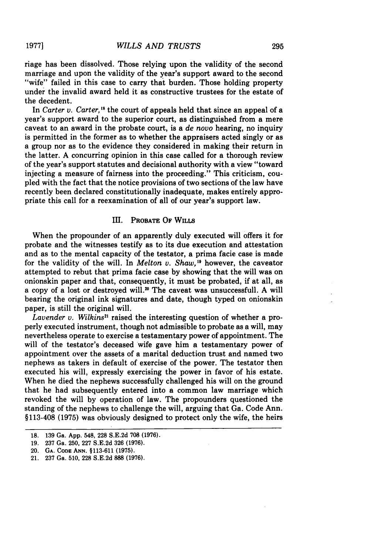riage has been dissolved. Those relying upon the validity of the second marriage and upon the validity of the year's support award to the second "wife" failed in this case to carry that burden. Those holding property under the invalid award held it as constructive trustees for the estate of the decedent.

In *Carter v. Carter*,<sup>18</sup> the court of appeals held that since an appeal of a year's support award to the superior court, as distinguished from a mere caveat to an award in the probate court, is a *de novo* hearing, no inquiry is permitted in the former as to whether the appraisers acted singly or as a group nor as to the evidence they considered in making their return in the latter. A concurring opinion in this case called for a thorough review of the year's support statutes and decisional authority with a view "toward injecting a measure of fairness into the proceeding." This criticism, coupled with the fact that the notice provisions of two sections of the law have recently been declared constitutionally inadequate, makes entirely appropriate this call for a reexamination of all of our year's support law.

#### **III.** PROBATE OF WILLS

When the propounder of an apparently duly executed will offers it for probate and the witnesses testify as to its due execution and attestation and as to the mental capacity of the testator, a prima facie case is made for the validity of the will. In *Melton v. Shaw,"* however, the caveator attempted to rebut that prima facie case by showing that the will was on onionskin paper and that, consequently, it must be probated, if at all, as a copy of a lost or destroyed will." The caveat was unsuccessfull. A will bearing the original ink signatures and date, though typed on onionskin paper, is still the original will.

*Lavender v. Wilkins*<sup>21</sup> raised the interesting question of whether a properly executed instrument, though not admissible to probate as a will, may nevertheless operate to exercise a testamentary power of appointment. The will of the testator's deceased wife gave him a testamentary power of appointment over the assets of a marital deduction trust and named two nephews as takers in default of exercise of the power. The testator then executed his will, expressly exercising the power in favor of his estate. When he died the nephews successfully challenged his will on the ground that he had subsequently entered into a common law marriage which revoked the will by operation of law. The propounders questioned the standing of the nephews to challenge the will, arguing that Ga. Code Ann. §113-408 (1975) was obviously designed to protect only the wife, the heirs

**1977]**

<sup>18. 139</sup> Ga. App. 548, **228** S.E.2d 708 (1976).

<sup>19.</sup> 237 Ga. 250, 227 S.E.2d 326 (1976).

<sup>20.</sup> **GA. CODE** ANN. §113-611 (1975).

<sup>21.</sup> **237** Ga. 510, **228** S.E.2d 888 (1976).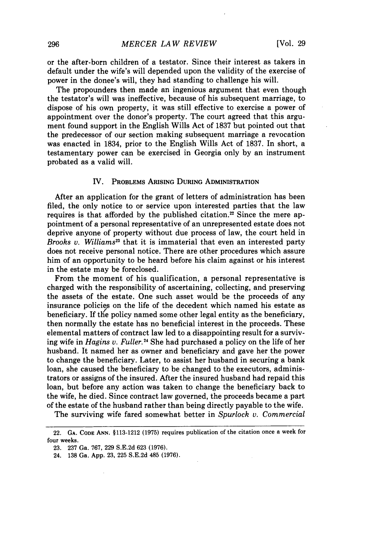or the after-born children of a testator. Since their interest as takers in default under the wife's will depended upon the validity of the exercise of power in the donee's will, they had standing to challenge his will.

The propounders then made an ingenious argument that even though the testator's will was ineffective, because of his subsequent marriage, to dispose of his own property, it was still effective to exercise a power of appointment over the donor's property. The court agreed that this argument found support in the English Wills Act of 1837 but pointed out that the predecessor of our section making subsequent marriage a revocation was enacted in 1834, prior to the English Wills Act of 1837. In short, a testamentary power can be exercised in Georgia only by an instrument probated as a valid will.

#### IV. PROBLEMS ARISING DURING ADMINISTRATION

After an application for the grant of letters of administration has been filed, the only notice to or service upon interested parties that the law requires is that afforded by the published citation.<sup>22</sup> Since the mere appointment of a personal representative of an unrepresented estate does not deprive anyone of property without due process of law, the court held in Brooks v. *Williams"2* that it is immaterial that even an interested party does not receive personal notice. There are other procedures which assure him of an opportunity to be heard before his claim against or his interest in the estate may be foreclosed.

From the moment of his qualification, a personal representative is charged with the responsibility of ascertaining, collecting, and preserving the assets of the estate. One such asset would be the proceeds of any insurance policies on the life of the decedent which named his estate as beneficiary. If the policy named some other legal entity as the beneficiary, then normally the estate has no beneficial interest in the proceeds. These elemental matters of contract law led to a disappointing result for a surviving wife in *Hagins v. Fuller.*<sup>24</sup> She had purchased a policy on the life of her husband. It named her as owner and beneficiary and gave her the power to change the beneficiary. Later, to assist her husband in securing a bank loan, she caused the beneficiary to be changed to the executors, administrators or assigns of the insured. **After** the insured husband had repaid this loan, but before any action was taken to change the beneficiary back to the wife, he died. Since contract law governed, the proceeds became a part of the estate of the husband rather than being directly payable to the wife.

The surviving wife fared somewhat better in Spurlock *v. Commercial*

<sup>22.</sup> **GA. CODE ANN.** §113-1212 (1975) requires publication of the citation once a week for four weeks.

<sup>23. 237</sup> Ga. 767, 229 S.E.2d 623 (1976).

<sup>24. 138</sup> Ga. App. 23, 225 S.E.2d 485 (1976).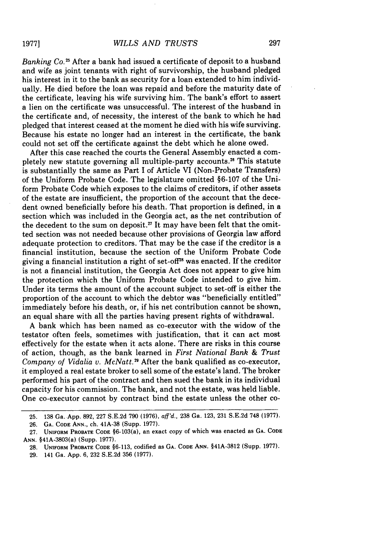*Banking Co.25* After a bank had issued a certificate of deposit to a husband and wife as joint tenants with right of survivorship, the husband pledged his interest in it to the bank as security for a loan extended to him individually. He died before the loan was repaid and before the maturity date of the certificate, leaving his wife surviving him. The bank's effort to assert a lien on the certificate was unsuccessful. The interest of the husband in the certificate and, of necessity, the interest of the bank to which he had pledged that interest ceased at the moment he died with his wife surviving. Because his estate no longer had an interest in the certificate, the bank could not set off the certificate against the debt which he alone owed.

After this case reached the courts the General Assembly enacted a completely new statute governing all multiple-party accounts."6 This statute is substantially the same as Part I of Article VI (Non-Probate Transfers) of the Uniform Probate Code. The legislature omitted §6-107 of the Uniform Probate Code which exposes to the claims of creditors, if other assets of the estate are insufficient, the proportion of the account that the decedent owned beneficially before his death. That proportion is defined, in a section which was included in the Georgia act, as the net contribution of the decedent to the sum on deposit.<sup>27</sup> It may have been felt that the omitted section was not needed because other provisions of Georgia law afford adequate protection to creditors. That may be the case if the creditor is a financial institution, because the section of the Uniform Probate Code giving a financial institution a right of set-of $T^2$  was enacted. If the creditor is not a financial institution, the Georgia Act does not appear to give him the protection which the Uniform Probate Code intended to give him. Under its terms the amount of the account subject to set-off is either the proportion of the account to which the debtor was "beneficially entitled" immediately before his death, or, if his net contribution cannot be shown, an equal share with all the parties having present rights of withdrawal.

A bank which has been named as co-executor with the widow of the testator often feels, sometimes with justification, that it can act most effectively for the estate when it acts alone. There are risks in this course of action, though, as the bank learned in *First National Bank & Trust* Company of Vidalia v. McNatt.<sup>29</sup> After the bank qualified as co-executor, it employed a real estate broker to sell some of the estate's land. The broker performed his part of the contract and then sued the bank in its individual capacity for his commission. The bank, and not the estate, was held liable. One co-executor cannot by contract bind the estate unless the other co-

29. 141 Ga. App. 6, 232 S.E.2d 356 (1977).

**19771**

<sup>25. 138</sup> Ga. App. 892, 227 S.E.2d 790 (1976), aff'd., 238 Ga. 123, 231 S.E.2d 748 (1977).

<sup>26.</sup> **GA.** CODE **ANN.,** ch. 41A-38 (Supp. 1977).

<sup>27.</sup> **UNIFORM** PROBATE **CODE** §6-103(a), an exact copy of which was enacted as **GA. CODE** ANN. §41A-3803(a) (Supp. 1977).

**<sup>28.</sup> UNIFORM PROBATE CODE** §6-113, codified as **GA. CODE ANN.** §41A-3812 (Supp. 1977).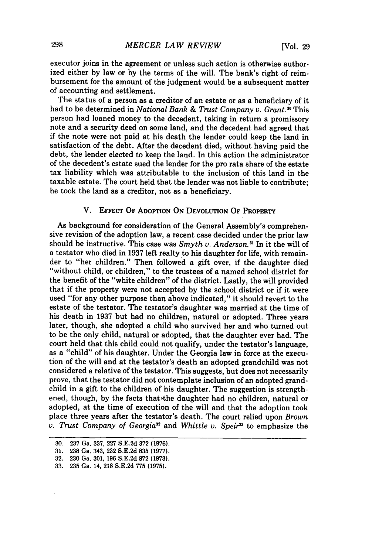executor joins in the agreement or unless such action is otherwise authorized either by law or by the terms of the will. The bank's right of reimbursement for the amount of the judgment would be a subsequent matter of accounting and settlement.

The status of a person as a creditor of an estate or as a beneficiary of it had to be determined in *National Bank & Trust Company v. Grant."* This person had loaned money to the decedent, taking in return a promissory note and a security deed on some land, and the decedent had agreed that if the note were not paid at his death the lender could keep the land in satisfaction of the debt. After the decedent died, without having paid the debt, the lender elected to keep the land. In this action the administrator of the decedent's estate sued the lender for the pro rata share of the estate tax liability which was attributable to the inclusion of this land in the taxable estate. The court held that the lender was not liable to contribute; he took the land as a creditor, not as a beneficiary.

# V. **EFFECT** OF ADOPTION **ON DEVOLUTION** OF **PROPERTY**

As background for consideration of the General Assembly's comprehensive revision of the adoption law, a recent case decided under the prior law should be instructive. This case was *Smyth v. Anderson*.<sup>31</sup> In it the will of a testator who died in 1937 left realty to his daughter for life, with remainder to "her children." Then followed a gift over, if the daughter died "without child, or children," to the trustees of a named school district for the benefit of the "white children" of the district. Lastly, the will provided that if the property were not accepted by the school district or if it were used "for any other purpose than above indicated," it should revert to the estate of the testator. The testator's daughter was married at the time of his death in 1937 but had no children, natural or adopted. Three years later, though, she adopted a child who survived her and who turned out to be the only child, natural or adopted, that the daughter ever had. The court held that this child could not qualify, under the testator's language, as a "child" of his daughter. Under the Georgia law in force at the execution of the will and at the testator's death an adopted grandchild was not considered a relative of the testator. This suggests, but does not necessarily prove, that the testator did not contemplate inclusion of an adopted grandchild in a gift to the children of his daughter. The suggestion is strengthened, though, by the facts that the daughter had no children, natural or adopted, at the time of execution of the will and that the adoption took place three years after the testator's death. The court relied upon *Brown v. Trust Company of Georgia3* and *Whittle v. Speir3* to emphasize the

**<sup>30. 237</sup>** Ga. **337, 227 S.E.2d 372 (1976).**

**<sup>31. 238</sup>** Ga. 343, **232 S.E.2d 835 (1977).**

**<sup>32. 230</sup>** Ga. **301, 196 S.E.2d 872 (1973).**

**<sup>33. 235</sup>** Ga. 14, **218 S.E.2d 775 (1975).**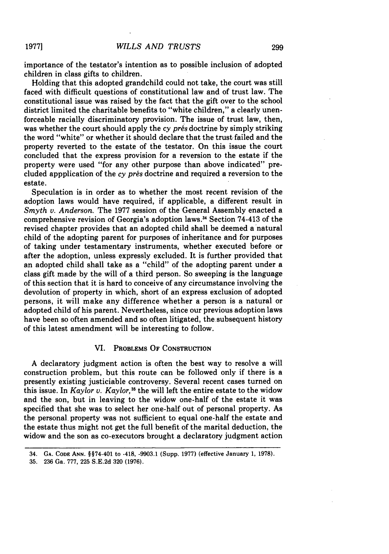**1977]**

importance of the testator's intention as to possible inclusion of adopted children in class gifts to children.

Holding that this adopted grandchild could not take, the court was still faced with difficult questions of constitutional law and of trust law. The constitutional issue was raised by the fact that the gift over to the school district limited the charitable benefits to "white children," a clearly unenforceable racially discriminatory provision. The issue of trust law, then, was whether the court should apply the *cy pres* doctrine by simply striking the word "white" or whether it should declare that the trust failed and the property reverted to the estate of the testator. On this issue the court concluded that the express provision for a reversion to the estate if the property were used "for any other purpose than above indicated" precluded appplication of the *cy prés* doctrine and required a reversion to the estate.

Speculation is in order as to whether the most recent revision of the adoption laws would have required, if applicable, a different result in *Smyth v. Anderson.* The 1977 session of the General Assembly enacted a comprehensive revision of Georgia's adoption laws.34 Section 74-413 of the revised chapter provides that an adopted child shall be deemed a'natural child of the adopting parent for purposes of inheritance and for purposes of taking under testamentary instruments, whether executed before or after the adoption, unless expressly excluded. It is further provided that an adopted child shall take as a "child" of the adopting parent under a class gift made by the will of a third person. So sweeping is the language of this section that it is hard to conceive of any circumstance involving the devolution of property in which, short of an express exclusion of adopted persons, it will make any difference whether a person is a natural or adopted child of his parent. Nevertheless, since our previous adoption laws have been so often amended and so often litigated, the subsequent history of this latest amendment will be interesting to follow.

### VI. PROBLEMS OF **CONSTRUCTION**

A declaratory judgment action is often the best way to resolve a will construction problem, but this route can be followed only if there is a presently existing justiciable controversy. Several recent cases turned on this issue. In *Kaylor v. Kaylor,35* the will left the entire estate to the widow and the son, but in leaving to the widow one-half of the estate it was specified that she was to select her one-half out of personal property. As the personal property was not sufficient to equal one-half the estate and the estate thus might not get the full benefit of the marital deduction, the widow and the son as co-executors brought a declaratory judgment action

**<sup>34.</sup> GA. CODE ANN.** §§74-401 to -418, **-9903.1** (Supp. **1977)** (effective January **1, 1978).**

**<sup>35. 236</sup>** Ga. **777, 225 S.E.2d 320 (1976).**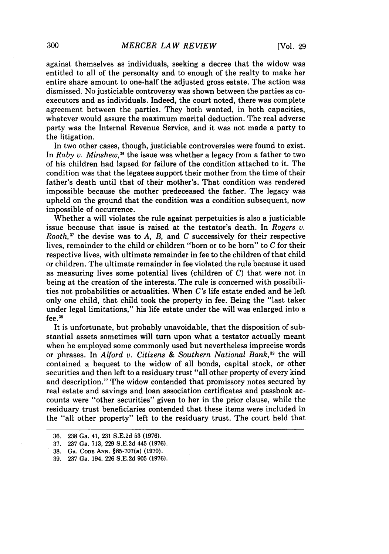against themselves as individuals, seeking a decree that the widow was entitled to all of the personalty and to enough of the realty to make her entire share amount to one-half the adjusted gross estate. The action was dismissed. No justiciable controversy was shown between the parties as coexecutors and as individuals. Indeed, the court noted, there was complete agreement between the parties. They both wanted, in both capacities, whatever would assure the maximum marital deduction. The real adverse party was the Internal Revenue Service, and it was not made a party to the litigation.

In two other cases, though, justiciable controversies were found to exist. In *Ra by v. Minshew,38* the issue was whether a legacy from a father to two of his children had lapsed for failure of the condition attached to it. The condition was that the legatees support their mother from the time of their father's death until that of their mother's. That condition was rendered impossible because the mother predeceased the father. The legacy was upheld on the ground that the condition was a condition subsequent, now impossible of occurrence.

Whether a will violates the rule against perpetuities is also a justiciable issue because that issue is raised at the testator's death. In *Rogers v. Rooth*,<sup> $37$ </sup> the devise was to *A*, *B*, and *C* successively for their respective lives, remainder to the child or children "born or to be born" to *C* for their respective lives, with ultimate remainder in fee to the children of that child or children. The ultimate remainder in fee violated the rule because it used as measuring lives some potential lives (children of *C)* that were not in being at the creation of the interests. The rule is concerned with possibilities not probabilities or actualities. When *C's* life estate ended and he left only one child, that child took the property in fee. Being the "last taker under legal limitations," his life estate under the will was enlarged into a fee. <sup>38</sup>

It is unfortunate, but probably unavoidable, that the disposition of substantial assets sometimes Will turn upon what a testator actually meant when he employed some commonly used but nevertheless imprecise words or phrases. In *Alford v. Citizens & Southern National Bank*,<sup>39</sup> the will contained a bequest to the widow of all bonds, capital stock, or other securities and then left to a residuary trust "all other property of every kind and description." The widow contended that promissory notes secured by real estate and savings and loan association certificates and passbook accounts were "other securities" given to her in the prior clause, while the residuary trust beneficiaries contended that these items were included in the "all other property" left to the residuary trust. The court held that

<sup>36. 238</sup> Ga. 41, 231 S.E.2d 53 (1976).

<sup>37. 237</sup> Ga. 713, 229 S.E.2d 445 (1976).

**<sup>38.</sup> GA. CODE ANN.** §85-707(a) **(1970).**

**<sup>39. 237</sup>** Ga. 194, **226 S.E.2d 905 (1976).**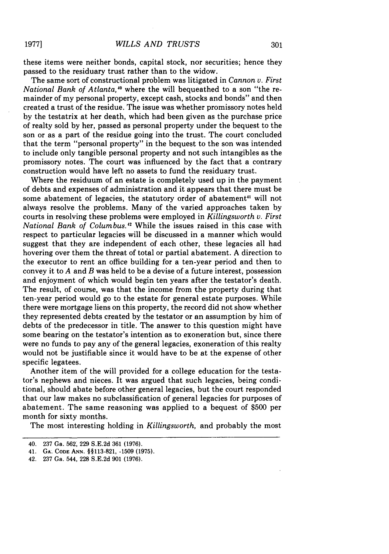**1977]**

these items were neither bonds, capital stock, nor securities; hence they passed to the residuary trust rather than to the widow.

The same sort of constructional problem was litigated in *Cannon v. First National Bank of Atlanta*,<sup>40</sup> where the will bequeathed to a son "the remainder of my personal property, except cash, stocks and bonds" and then created a trust of the residue. The issue was whether promissory notes held by the testatrix at her death, which had been given as the purchase price of realty sold by her, passed as personal property under the bequest to the son or as a part of the residue going into the trust. The court concluded that the term "personal property" in the bequest to the son was intended to include only tangible personal property and not such intangibles as the promissory notes. The court was influenced by the fact that a contrary construction would have left no assets to fund the residuary trust.

Where the residuum of an estate is completely used up in the payment of debts and expenses of administration and it appears that there must be some abatement of legacies, the statutory order of abatement<sup>41</sup> will not always resolve the problems. Many of the varied approaches taken by courts in resolving these problems were employed in *Killingsworth v. First National Bank of Columbus.2* While the issues raised in this case with respect to particular legacies will be discussed in a manner which would suggest that they are independent of each other, these legacies all had hovering over them the threat of total or partial abatement. A direction to the executor to rent an office building for a ten-year period and then to convey it to *A* and *B* was held to be a devise of a future interest, possession and enjoyment of which would begin ten years after the testator's death. The result, of course, was that the income from the property during that ten-year period would go to the estate for general estate purposes. While there were mortgage liens on this property, the record did not show whether they represented debts created by the testator or an assumption by him of debts of the predecessor in title. The answer to this question might have some bearing on the testator's intention as to exoneration but, since there were no funds to pay any of the general legacies, exoneration of this realty would not be justifiable since it would have to be at the expense of other specific legatees.

Another item of the will provided for a college education for the testator's nephews and nieces. It was argued that such legacies, being conditional, should abate before other general legacies, but the court responded that our law makes no subclassification of general legacies for purposes of abatement. The same reasoning was applied to a bequest of \$500 per month for sixty months.

The most interesting holding in *Killingsworth,* and probably the most

<sup>40. 237</sup> Ga. **562, 229 S.E.2d 361 (1976).**

<sup>41.</sup> **GA. CODE ANN. §§113-821, -1509 (1975).**

**<sup>42. 237</sup> Ga. 544, 228 S.E.2d 901 (1976).**